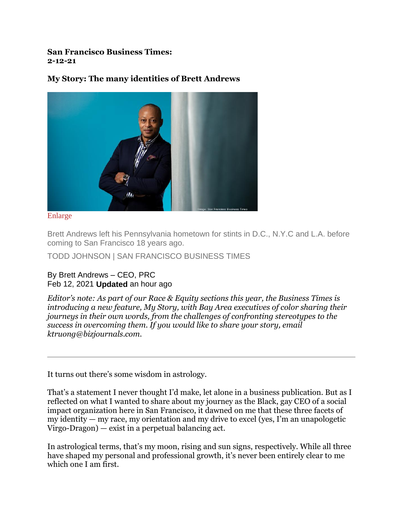**San Francisco Business Times: 2-12-21**

## **My Story: The many identities of Brett Andrews**



[Enlarge](https://www.bizjournals.com/)

Brett Andrews left his Pennsylvania hometown for stints in D.C., N.Y.C and L.A. before coming to San Francisco 18 years ago.

TODD JOHNSON | SAN FRANCISCO BUSINESS TIMES

## By Brett Andrews – CEO, PRC Feb 12, 2021 **Updated** an hour ago

*Editor's note: As part of our Race & Equity sections this year, the Business Times is introducing a new feature, My Story, with Bay Area executives of color sharing their journeys in their own words, from the challenges of confronting stereotypes to the success in overcoming them. If you would like to share your story, email ktruong@bizjournals.com.*

It turns out there's some wisdom in astrology.

That's a statement I never thought I'd make, let alone in a business publication. But as I reflected on what I wanted to share about my journey as the Black, gay CEO of a social impact organization here in San Francisco, it dawned on me that these three facets of my identity — my race, my orientation and my drive to excel (yes, I'm an unapologetic Virgo-Dragon) — exist in a perpetual balancing act.

In astrological terms, that's my moon, rising and sun signs, respectively. While all three have shaped my personal and professional growth, it's never been entirely clear to me which one I am first.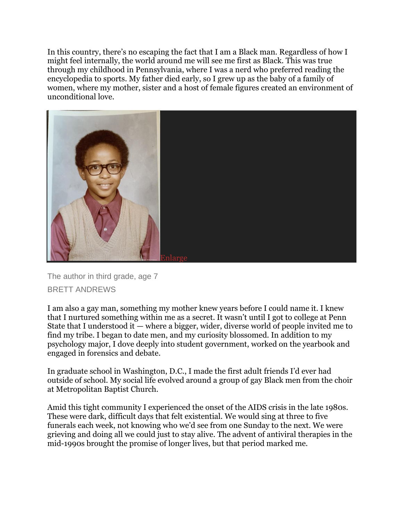In this country, there's no escaping the fact that I am a Black man. Regardless of how I might feel internally, the world around me will see me first as Black. This was true through my childhood in Pennsylvania, where I was a nerd who preferred reading the encyclopedia to sports. My father died early, so I grew up as the baby of a family of women, where my mother, sister and a host of female figures created an environment of unconditional love.



The author in third grade, age 7 BRETT ANDREWS

I am also a gay man, something my mother knew years before I could name it. I knew that I nurtured something within me as a secret. It wasn't until I got to college at Penn State that I understood it  $-$  where a bigger, wider, diverse world of people invited me to find my tribe. I began to date men, and my curiosity blossomed. In addition to my psychology major, I dove deeply into student government, worked on the yearbook and engaged in forensics and debate.

In graduate school in Washington, D.C., I made the first adult friends I'd ever had outside of school. My social life evolved around a group of gay Black men from the choir at Metropolitan Baptist Church.

Amid this tight community I experienced the onset of the AIDS crisis in the late 1980s. These were dark, difficult days that felt existential. We would sing at three to five funerals each week, not knowing who we'd see from one Sunday to the next. We were grieving and doing all we could just to stay alive. The advent of antiviral therapies in the mid-1990s brought the promise of longer lives, but that period marked me.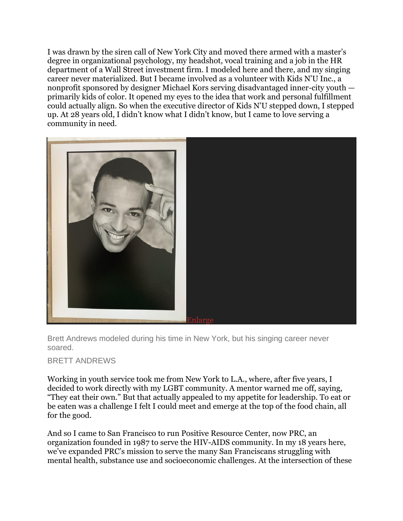I was drawn by the siren call of New York City and moved there armed with a master's degree in organizational psychology, my headshot, vocal training and a job in the HR department of a Wall Street investment firm. I modeled here and there, and my singing career never materialized. But I became involved as a volunteer with Kids N'U Inc., a nonprofit sponsored by designer Michael Kors serving disadvantaged inner-city youth primarily kids of color. It opened my eyes to the idea that work and personal fulfillment could actually align. So when the executive director of Kids N'U stepped down, I stepped up. At 28 years old, I didn't know what I didn't know, but I came to love serving a community in need.



Brett Andrews modeled during his time in New York, but his singing career never soared.

BRETT ANDREWS

Working in youth service took me from New York to L.A., where, after five years, I decided to work directly with my LGBT community. A mentor warned me off, saying, "They eat their own." But that actually appealed to my appetite for leadership. To eat or be eaten was a challenge I felt I could meet and emerge at the top of the food chain, all for the good.

And so I came to San Francisco to run Positive Resource Center, now PRC, an organization founded in 1987 to serve the HIV-AIDS community. In my 18 years here, we've expanded PRC's mission to serve the many San Franciscans struggling with mental health, substance use and socioeconomic challenges. At the intersection of these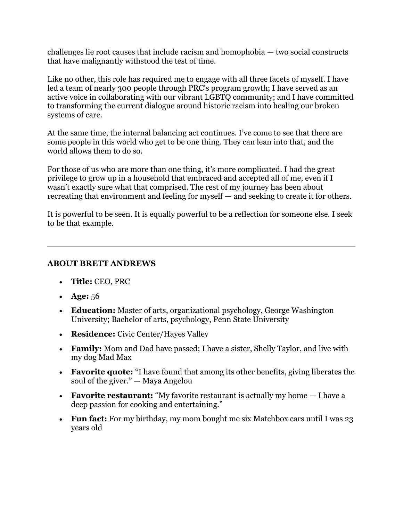challenges lie root causes that include racism and homophobia — two social constructs that have malignantly withstood the test of time.

Like no other, this role has required me to engage with all three facets of myself. I have led a team of nearly 300 people through PRC's program growth; I have served as an active voice in collaborating with our vibrant LGBTQ community; and I have committed to transforming the current dialogue around historic racism into healing our broken systems of care.

At the same time, the internal balancing act continues. I've come to see that there are some people in this world who get to be one thing. They can lean into that, and the world allows them to do so.

For those of us who are more than one thing, it's more complicated. I had the great privilege to grow up in a household that embraced and accepted all of me, even if I wasn't exactly sure what that comprised. The rest of my journey has been about recreating that environment and feeling for myself — and seeking to create it for others.

It is powerful to be seen. It is equally powerful to be a reflection for someone else. I seek to be that example.

## **ABOUT BRETT ANDREWS**

- **Title:** CEO, PRC
- **Age:** 56
- **Education:** Master of arts, organizational psychology, George Washington University; Bachelor of arts, psychology, Penn State University
- **Residence:** Civic Center/Hayes Valley
- **Family:** Mom and Dad have passed; I have a sister, Shelly Taylor, and live with my dog Mad Max
- **Favorite quote:** "I have found that among its other benefits, giving liberates the soul of the giver." — Maya Angelou
- **Favorite restaurant:** "My favorite restaurant is actually my home I have a deep passion for cooking and entertaining."
- **Fun fact:** For my birthday, my mom bought me six Matchbox cars until I was 23 years old